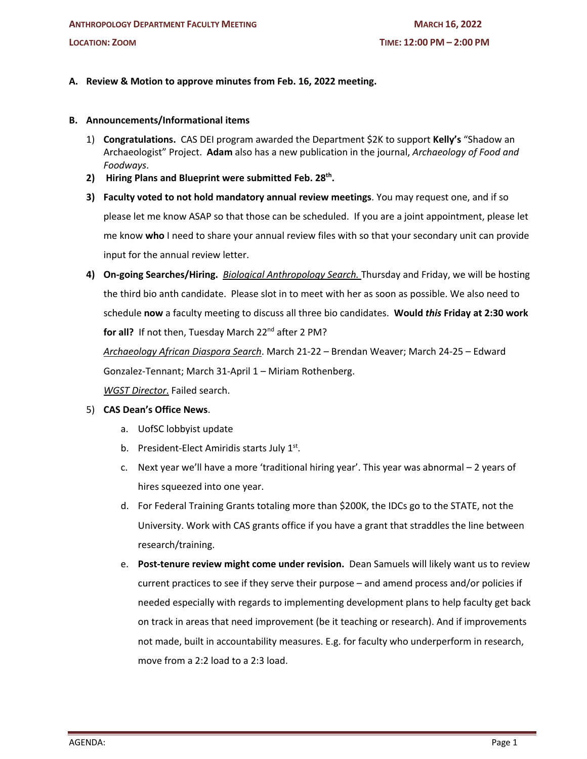# **A. Review & Motion to approve minutes from Feb. 16, 2022 meeting.**

#### **B. Announcements/Informational items**

- 1) **Congratulations.** CAS DEI program awarded the Department \$2K to support **Kelly's** "Shadow an Archaeologist" Project. **Adam** also has a new publication in the journal, *Archaeology of Food and Foodways*.
- **2) Hiring Plans and Blueprint were submitted Feb. 28th.**
- **3) Faculty voted to not hold mandatory annual review meetings**. You may request one, and if so please let me know ASAP so that those can be scheduled. If you are a joint appointment, please let me know **who** I need to share your annual review files with so that your secondary unit can provide input for the annual review letter.
- **4) On-going Searches/Hiring.** *Biological Anthropology Search.* Thursday and Friday, we will be hosting the third bio anth candidate. Please slot in to meet with her as soon as possible. We also need to schedule **now** a faculty meeting to discuss all three bio candidates. **Would** *this* **Friday at 2:30 work**  for all? If not then, Tuesday March 22<sup>nd</sup> after 2 PM? *Archaeology African Diaspora Search*. March 21-22 – Brendan Weaver; March 24-25 – Edward

Gonzalez-Tennant; March 31-April 1 – Miriam Rothenberg. *WGST Director*. Failed search.

## 5) **CAS Dean's Office News**.

- a. UofSC lobbyist update
- b. President-Elect Amiridis starts July  $1<sup>st</sup>$ .
- c. Next year we'll have a more 'traditional hiring year'. This year was abnormal 2 years of hires squeezed into one year.
- d. For Federal Training Grants totaling more than \$200K, the IDCs go to the STATE, not the University. Work with CAS grants office if you have a grant that straddles the line between research/training.
- e. **Post-tenure review might come under revision.** Dean Samuels will likely want us to review current practices to see if they serve their purpose – and amend process and/or policies if needed especially with regards to implementing development plans to help faculty get back on track in areas that need improvement (be it teaching or research). And if improvements not made, built in accountability measures. E.g. for faculty who underperform in research, move from a 2:2 load to a 2:3 load.